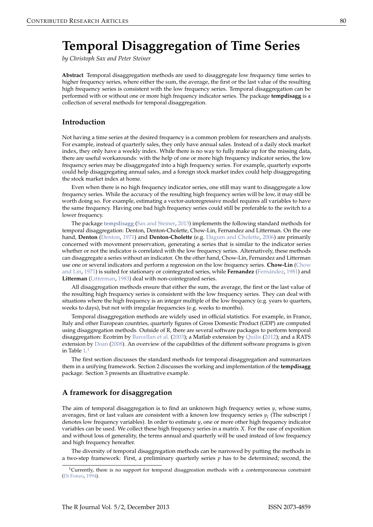# <span id="page-0-0"></span>**Temporal Disaggregation of Time Series**

*by Christoph Sax and Peter Steiner*

**Abstract** Temporal disaggregation methods are used to disaggregate low frequency time series to higher frequency series, where either the sum, the average, the first or the last value of the resulting high frequency series is consistent with the low frequency series. Temporal disaggregation can be performed with or without one or more high frequency indicator series. The package **tempdisagg** is a collection of several methods for temporal disaggregation.

## **Introduction**

Not having a time series at the desired frequency is a common problem for researchers and analysts. For example, instead of quarterly sales, they only have annual sales. Instead of a daily stock market index, they only have a weekly index. While there is no way to fully make up for the missing data, there are useful workarounds: with the help of one or more high frequency indicator series, the low frequency series may be disaggregated into a high frequency series. For example, quarterly exports could help disaggregating annual sales, and a foreign stock market index could help disaggregating the stock market index at home.

Even when there is no high frequency indicator series, one still may want to disaggregate a low frequency series. While the accuracy of the resulting high frequency series will be low, it may still be worth doing so. For example, estimating a vector-autoregressive model requires all variables to have the same frequency. Having one bad high frequency series could still be preferable to the switch to a lower frequency.

The package **[tempdisagg](http://CRAN.R-project.org/package=tempdisagg)** [\(Sax and Steiner,](#page-6-0) [2013\)](#page-6-0) implements the following standard methods for temporal disaggregation: Denton, Denton-Cholette, Chow-Lin, Fernandez and Litterman. On the one hand, **Denton** [\(Denton,](#page-6-1) [1971\)](#page-6-1) and **Denton-Cholette** (e.g. [Dagum and Cholette,](#page-6-2) [2006\)](#page-6-2) are primarily concerned with movement preservation, generating a series that is similar to the indicator series whether or not the indicator is correlated with the low frequency series. Alternatively, these methods can disaggregate a series without an indicator. On the other hand, Chow-Lin, Fernandez and Litterman use one or several indicators and perform a regression on the low frequency series. **Chow-Lin** [\(Chow](#page-6-3) [and Lin,](#page-6-3) [1971\)](#page-6-3) is suited for stationary or cointegrated series, while **Fernandez** [\(Fernández,](#page-6-4) [1981\)](#page-6-4) and **Litterman** [\(Litterman,](#page-6-5) [1983\)](#page-6-5) deal with non-cointegrated series.

All disaggregation methods ensure that either the sum, the average, the first or the last value of the resulting high frequency series is consistent with the low frequency series. They can deal with situations where the high frequency is an integer multiple of the low frequency (e.g. years to quarters, weeks to days), but not with irregular frequencies (e.g. weeks to months).

Temporal disaggregation methods are widely used in official statistics. For example, in France, Italy and other European countries, quarterly figures of Gross Domestic Product (GDP) are computed using disaggregation methods. Outside of R, there are several software packages to perform temporal disaggregation: Ecotrim by [Barcellan et al.](#page-6-6) [\(2003\)](#page-6-6); a Matlab extension by [Quilis](#page-6-7) [\(2012\)](#page-6-7); and a RATS extension by [Doan](#page-6-8) [\(2008\)](#page-6-8). An overview of the capabilities of the different software programs is given in Table [1.](#page-1-0) [1](#page--1-0)

The first section discusses the standard methods for temporal disaggregation and summarizes them in a unifying framework. Section 2 discusses the working and implementation of the **tempdisagg** package. Section 3 presents an illustrative example.

# **A framework for disaggregation**

The aim of temporal disaggregation is to find an unknown high frequency series *y*, whose sums, averages, first or last values are consistent with a known low frequency series *y<sup>l</sup>* (The subscript *l* denotes low frequency variables). In order to estimate *y*, one or more other high frequency indicator variables can be used. We collect these high frequency series in a matrix *X*. For the ease of exposition and without loss of generality, the terms annual and quarterly will be used instead of low frequency and high frequency hereafter.

The diversity of temporal disaggregation methods can be narrowed by putting the methods in a two-step framework: First, a preliminary quarterly series  $p$  has to be determined; second, the

 $1$ Currently, there is no support for temporal disaggreation methods with a contemporaneous constraint [\(Di Fonzo,](#page-6-9) [1994\)](#page-6-9).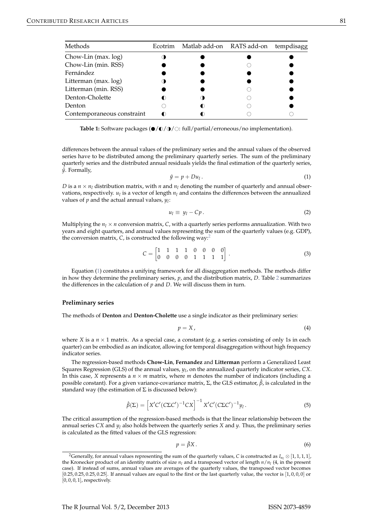<span id="page-1-0"></span>

| Methods                    | Ecotrim | Matlab add-on RATS add-on | tempdisagg |
|----------------------------|---------|---------------------------|------------|
| Chow-Lin (max. log)        |         |                           |            |
| Chow-Lin (min. RSS)        |         |                           |            |
| Fernández                  |         |                           |            |
| Litterman (max. log)       |         |                           |            |
| Litterman (min. RSS)       |         |                           |            |
| Denton-Cholette            |         |                           |            |
| Denton                     |         |                           |            |
| Contemporaneous constraint |         |                           |            |

**Table 1:** Software packages  $\left(\frac{\phi}{\phi}/\frac{\phi}{\phi}\right)$ : full/partial/erroneous/no implementation).

differences between the annual values of the preliminary series and the annual values of the observed series have to be distributed among the preliminary quarterly series. The sum of the preliminary quarterly series and the distributed annual residuals yields the final estimation of the quarterly series,  $\hat{y}$ . Formally,

$$
\hat{y} = p + Du_l. \tag{1}
$$

<span id="page-1-1"></span>*D* is a  $n \times n_l$  distribution matrix, with *n* and  $n_l$  denoting the number of quarterly and annual observations, respectively.  $u_l$  is a vector of length  $n_l$  and contains the differences between the annualized values of *p* and the actual annual values, *y<sup>l</sup>* :

<span id="page-1-2"></span>
$$
u_l \equiv y_l - Cp. \tag{2}
$$

Multiplying the  $n_l \times n$  conversion matrix, C, with a quarterly series performs annualization. With two years and eight quarters, and annual values representing the sum of the quarterly values (e.g. GDP), the conversion matrix, *C*, is constructed the following way:[2](#page--1-0)

$$
C = \begin{bmatrix} 1 & 1 & 1 & 1 & 0 & 0 & 0 & 0 \\ 0 & 0 & 0 & 0 & 1 & 1 & 1 & 1 \end{bmatrix} . \tag{3}
$$

Equation [\(1\)](#page-1-1) constitutes a unifying framework for all disaggregation methods. The methods differ in how they determine the preliminary series, *p*, and the distribution matrix, *D*. Table [2](#page-2-0) summarizes the differences in the calculation of *p* and *D*. We will discuss them in turn.

#### **Preliminary series**

The methods of **Denton** and **Denton-Cholette** use a single indicator as their preliminary series:

$$
p = X, \tag{4}
$$

where *X* is a  $n \times 1$  matrix. As a special case, a constant (e.g. a series consisting of only 1s in each quarter) can be embodied as an indicator, allowing for temporal disaggregation without high frequency indicator series.

The regression-based methods **Chow-Lin**, **Fernandez** and **Litterman** perform a Generalized Least Squares Regression (GLS) of the annual values, *y<sup>l</sup>* , on the annualized quarterly indicator series, *CX*. In this case, *X* represents a  $n \times m$  matrix, where *m* denotes the number of indicators (including a possible constant). For a given variance-covariance matrix,  $\Sigma$ , the GLS estimator,  $\hat{\beta}$ , is calculated in the standard way (the estimation of  $\Sigma$  is discussed below):

$$
\hat{\beta}(\Sigma) = \left[ X'C'(C\Sigma C')^{-1}CX \right]^{-1} X'C'(C\Sigma C')^{-1} y_l.
$$
\n(5)

The critical assumption of the regression-based methods is that the linear relationship between the annual series *CX* and *y<sup>l</sup>* also holds between the quarterly series *X* and *y*. Thus, the preliminary series is calculated as the fitted values of the GLS regression:

<span id="page-1-4"></span><span id="page-1-3"></span>
$$
p = \hat{\beta} X. \tag{6}
$$

<sup>&</sup>lt;sup>2</sup>Generally, for annual values representing the sum of the quarterly values, *C* is constructed as  $I_{n_l} \otimes [1, 1, 1, 1]$ , the Kronecker product of an identity matrix of size *n<sup>l</sup>* and a transposed vector of length *n*/*n<sup>l</sup>* (4, in the present case). If instead of sums, annual values are averages of the quarterly values, the transposed vector becomes  $[0.25, 0.25, 0.25, 0.25]$ . If annual values are equal to the first or the last quarterly value, the vector is  $[1, 0, 0, 0]$  or [0, 0, 0, 1], respectively.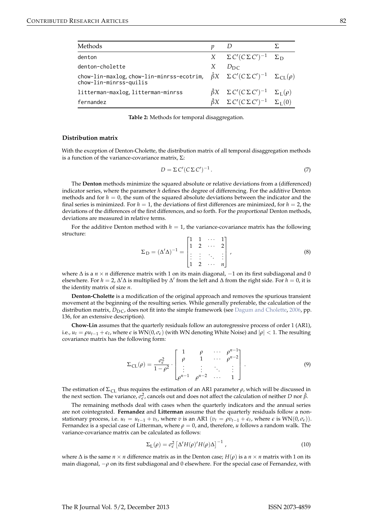<span id="page-2-1"></span><span id="page-2-0"></span>

| Methods                                                                                                                         | n | D                                                                     |  |
|---------------------------------------------------------------------------------------------------------------------------------|---|-----------------------------------------------------------------------|--|
| denton                                                                                                                          |   | $X \t\Sigma C' (C \Sigma C')^{-1} \t\Sigma_D$                         |  |
| denton-cholette                                                                                                                 | X | $D_{\rm DC}$                                                          |  |
| chow-lin-maxlog, chow-lin-minrss-ecotrim, $\hat{\beta}X \Sigma C'(C\Sigma C')^{-1} \Sigma_{CL}(\rho)$<br>chow-lin-minrss-quilis |   |                                                                       |  |
| litterman-maxlog, litterman-minrss                                                                                              |   | $\hat{\beta}X \quad \Sigma C'(C \Sigma C')^{-1} \quad \Sigma_L(\rho)$ |  |
| fernandez                                                                                                                       |   | $\hat{\beta}X \quad \Sigma C'(C \Sigma C')^{-1} \quad \Sigma_L(0)$    |  |

**Table 2:** Methods for temporal disaggregation.

#### **Distribution matrix**

With the exception of Denton-Cholette, the distribution matrix of all temporal disaggregation methods is a function of the variance-covariance matrix,  $\Sigma$ :

$$
D = \Sigma C' (C \Sigma C')^{-1}.
$$
 (7)

The **Denton** methods minimize the squared absolute or relative deviations from a (differenced) indicator series, where the parameter *h* defines the degree of differencing. For the additive Denton methods and for  $h = 0$ , the sum of the squared absolute deviations between the indicator and the final series is minimized. For  $h = 1$ , the deviations of first differences are minimized, for  $h = 2$ , the deviations of the differences of the first differences, and so forth. For the proportional Denton methods, deviations are measured in relative terms.

For the additive Denton method with  $h = 1$ , the variance-covariance matrix has the following structure:

$$
\Sigma_{\mathcal{D}} = (\Delta' \Delta)^{-1} = \begin{bmatrix} 1 & 1 & \cdots & 1 \\ 1 & 2 & \cdots & 2 \\ \vdots & \vdots & \ddots & \vdots \\ 1 & 2 & \cdots & n \end{bmatrix},\tag{8}
$$

where  $\Delta$  is a *n* × *n* difference matrix with 1 on its main diagonal,  $-1$  on its first subdiagonal and 0 elsewhere. For *h* = 2, ∆'∆ is multiplied by ∆' from the left and ∆ from the right side. For *h* = 0, it is the identity matrix of size *n*.

**Denton-Cholette** is a modification of the original approach and removes the spurious transient movement at the beginning of the resulting series. While generally preferable, the calculation of the distribution matrix,  $D_{\text{DC}}$ , does not fit into the simple framework (see [Dagum and Cholette,](#page-6-2) [2006,](#page-6-2) pp. 136, for an extensive description).

**Chow-Lin** assumes that the quarterly residuals follow an autoregressive process of order 1 (AR1), i.e.,  $u_t = \rho u_{t-1} + \epsilon_t$ , where  $\epsilon$  is  $WN(0, \sigma_{\epsilon})$  (with WN denoting White Noise) and  $|\rho| < 1$ . The resulting covariance matrix has the following form:

$$
\Sigma_{\text{CL}}(\rho) = \frac{\sigma_{\epsilon}^2}{1 - \rho^2} \cdot \begin{bmatrix} 1 & \rho & \cdots & \rho^{n-1} \\ \rho & 1 & \cdots & \rho^{n-2} \\ \vdots & \vdots & \ddots & \vdots \\ \rho^{n-1} & \rho^{n-2} & \cdots & 1 \end{bmatrix} . \tag{9}
$$

The estimation of  $\Sigma_{CL}$  thus requires the estimation of an AR1 parameter  $\rho$ , which will be discussed in the next section. The variance,  $\sigma_{\epsilon}^2$ , cancels out and does not affect the calculation of neither *D* nor  $\hat{\beta}$ .

The remaining methods deal with cases when the quarterly indicators and the annual series are not cointegrated. **Fernandez** and **Litterman** assume that the quarterly residuals follow a nonstationary process, i.e.  $u_t = u_{t-1} + v_t$ , where *v* is an AR1 ( $v_t = \rho v_{t-1} + \epsilon_t$ , where  $\epsilon$  is  $WN(0, \sigma_{\epsilon})$ ). Fernandez is a special case of Litterman, where  $\rho = 0$ , and, therefore, *u* follows a random walk. The variance-covariance matrix can be calculated as follows:

$$
\Sigma_{\rm L}(\rho) = \sigma_{\epsilon}^2 \left[ \Delta' H(\rho)' H(\rho) \Delta \right]^{-1}, \qquad (10)
$$

where  $\Delta$  is the same  $n \times n$  difference matrix as in the Denton case;  $H(\rho)$  is a  $n \times n$  matrix with 1 on its main diagonal, −*ρ* on its first subdiagonal and 0 elsewhere. For the special case of Fernandez, with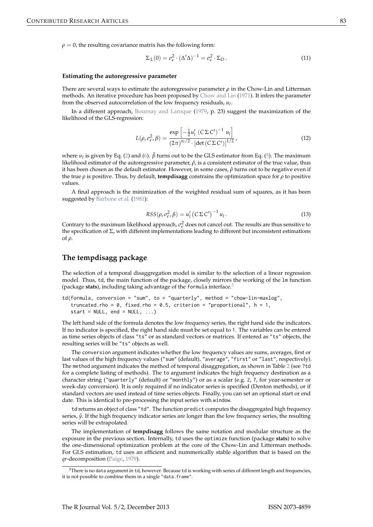<span id="page-3-0"></span> $\rho = 0$ , the resulting covariance matrix has the following form:

$$
\Sigma_{\mathcal{L}}(0) = \sigma_{\epsilon}^2 \cdot (\Delta' \Delta)^{-1} = \sigma_{\epsilon}^2 \cdot \Sigma_D \,. \tag{11}
$$

#### **Estimating the autoregressive parameter**

There are several ways to estimate the autoregressive parameter  $\rho$  in the Chow-Lin and Litterman methods. An iterative procedure has been proposed by [Chow and Lin](#page-6-3) [\(1971\)](#page-6-3). It infers the parameter from the observed autocorrelation of the low frequency residuals, *u<sup>l</sup>* .

In a different approach, [Bournay and Laroque](#page-6-10) [\(1979,](#page-6-10) p. 23) suggest the maximization of the likelihood of the GLS-regression:

$$
L(\rho, \sigma_{\epsilon}^2, \beta) = \frac{\exp\left[-\frac{1}{2}u_l' \left(C\Sigma C'\right)^{-1} u_l\right]}{\left(2\pi\right)^{n_l/2} \cdot \left[\det\left(C\Sigma C'\right)\right]^{1/2}},\tag{12}
$$

where *u<sup>l</sup>* is given by Eq. [\(2\)](#page-1-2) and [\(6\)](#page-1-3). *β*ˆ turns out to be the GLS estimator from Eq. [\(5\)](#page-1-4). The maximum likelihood estimator of the autoregressive parameter,  $\hat{\rho}$ , is a consistent estimator of the true value, thus it has been chosen as the default estimator. However, in some cases,  $\hat{\rho}$  turns out to be negative even if the true  $\rho$  is positive. Thus, by default, **tempdisagg** constrains the optimization space for  $\rho$  to positive values.

A final approach is the minimization of the weighted residual sum of squares, as it has been suggested by [Barbone et al.](#page-6-11) [\(1981\)](#page-6-11):

$$
RSS(\rho, \sigma_{\epsilon}^2, \beta) = u'_l (C \Sigma C')^{-1} u_l.
$$
\n(13)

Contrary to the maximum likelihood approach,  $\sigma_{\epsilon}^2$  does not cancel out. The results are thus sensitive to the specification of  $\Sigma$ , with different implementations leading to different but inconsistent estimations of *ρ*.

## **The tempdisagg package**

The selection of a temporal disaggregation model is similar to the selection of a linear regression model. Thus, td, the main function of the package, closely mirrors the working of the lm function (package **stats**), including taking advantage of the formula interface.[3](#page--1-0)

```
td(formula, conversion = "sum", to = "quarterly", method = "chow-lin-maxlog",
   truncated.rho = 0, fixed.rho = 0.5, criterion = "proportional", h = 1,
  start = NULL, end = NULL, ...
```
The left hand side of the formula denotes the low frequency series, the right hand side the indicators. If no indicator is specified, the right hand side must be set equal to 1. The variables can be entered as time series objects of class "ts" or as standard vectors or matrices. If entered as "ts" objects, the resulting series will be "ts" objects as well.

The conversion argument indicates whether the low frequency values are sums, averages, first or last values of the high frequency values ("sum" (default), "average", "first" or "last", respectively). The method argument indicates the method of temporal disaggregation, as shown in Table [2](#page-2-0) (see ?td for a complete listing of methods). The to argument indicates the high frequency destination as a character string ("quarterly" (default) or "monthly") or as a scalar (e.g. 2, 7, for year-semester or week-day conversion). It is only required if no indicator series is specified (Denton methods), or if standard vectors are used instead of time series objects. Finally, you can set an optional start or end date. This is identical to pre-processing the input series with window.

td returns an object of class "td". The function predict computes the disaggregated high frequency series,  $\hat{y}$ . If the high frequency indicator series are longer than the low frequency series, the resulting series will be extrapolated.

The implementation of **tempdisagg** follows the same notation and modular structure as the exposure in the previous section. Internally, td uses the optimize function (package **stats**) to solve the one-dimensional optimization problem at the core of the Chow-Lin and Litterman methods. For GLS estimation, td uses an efficient and nummerically stable algorithm that is based on the *qr*-decomposition [\(Paige,](#page-6-12) [1979\)](#page-6-12).

 $3$ There is no data argument in td, however. Because td is working with series of different length and frequencies, it is not possible to combine them in a single "data.frame".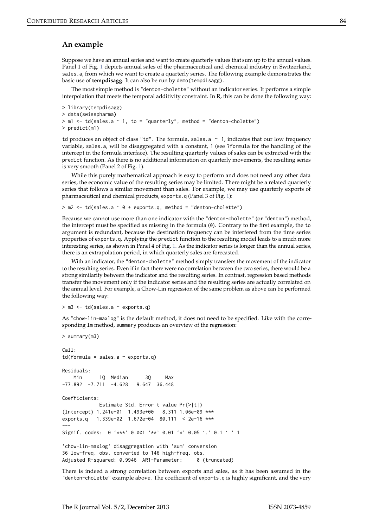## **An example**

Suppose we have an annual series and want to create quarterly values that sum up to the annual values. Panel 1 of Fig. [1](#page-5-0) depicts annual sales of the pharmaceutical and chemical industry in Switzerland, sales.a, from which we want to create a quarterly series. The following example demonstrates the basic use of **tempdisagg**. It can also be run by demo(tempdisagg).

The most simple method is "denton-cholette" without an indicator series. It performs a simple interpolation that meets the temporal additivity constraint. In R, this can be done the following way:

```
> library(tempdisagg)
> data(swisspharma)
> m1 \le- td(sales.a \sim 1, to = "quarterly", method = "denton-cholette")
> predict(m1)
```
td produces an object of class "td". The formula, sales.a  $~\sim~$  1, indicates that our low frequency variable, sales.a, will be disaggregated with a constant, 1 (see ?formula for the handling of the intercept in the formula interface). The resulting quarterly values of sales can be extracted with the predict function. As there is no additional information on quarterly movements, the resulting series is very smooth (Panel 2 of Fig. [1\)](#page-5-0).

While this purely mathematical approach is easy to perform and does not need any other data series, the economic value of the resulting series may be limited. There might be a related quarterly series that follows a similar movement than sales. For example, we may use quarterly exports of pharmaceutical and chemical products, exports.q (Panel 3 of Fig. [1\)](#page-5-0):

 $>$  m2  $<$  td(sales.a  $\sim$  0 + exports.q, method = "denton-cholette")

Because we cannot use more than one indicator with the "denton-cholette" (or "denton") method, the intercept must be specified as missing in the formula (0). Contrary to the first example, the to argument is redundant, because the destination frequency can be interfered from the time series properties of exports.q. Applying the predict function to the resulting model leads to a much more interesting series, as shown in Panel 4 of Fig. [1.](#page-5-0) As the indicator series is longer than the annual series, there is an extrapolation period, in which quarterly sales are forecasted.

With an indicator, the "denton-cholette" method simply transfers the movement of the indicator to the resulting series. Even if in fact there were no correlation between the two series, there would be a strong similarity between the indicator and the resulting series. In contrast, regression based methods transfer the movement only if the indicator series and the resulting series are actually correlated on the annual level. For example, a Chow-Lin regression of the same problem as above can be performed the following way:

> m3 <- td(sales.a ~ exports.q)

As "chow-lin-maxlog" is the default method, it does not need to be specified. Like with the corresponding lm method, summary produces an overview of the regression:

```
> summary(m3)
```

```
C<sub>a</sub>11.
td(formula = sales.a \sim exports.q)Residuals:
   Min 1Q Median 3Q Max
-77.892 -7.711 -4.628 9.647 36.448
Coefficients:
            Estimate Std. Error t value Pr(>|t|)
(Intercept) 1.241e+01 1.493e+00 8.311 1.06e-09 ***
exports.q 1.339e-02 1.672e-04 80.111 < 2e-16 ***
---
Signif. codes: 0 '***' 0.001 '**' 0.01 '*' 0.05 '.' 0.1 ' ' 1
'chow-lin-maxlog' disaggregation with 'sum' conversion
36 low-freq. obs. converted to 146 high-freq. obs.
Adjusted R-squared: 0.9946 AR1-Parameter: 0 (truncated)
```
There is indeed a strong correlation between exports and sales, as it has been assumed in the "denton-cholette" example above. The coefficient of exports.q is highly significant, and the very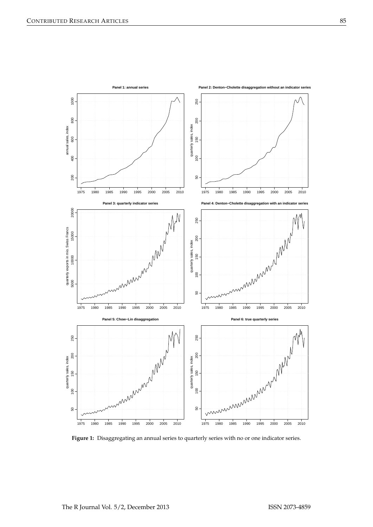<span id="page-5-0"></span>

Figure 1: Disaggregating an annual series to quarterly series with no or one indicator series.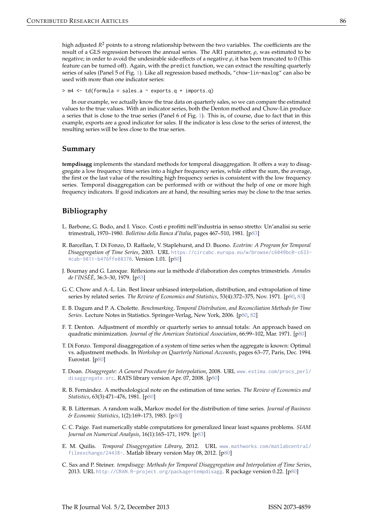high adjusted *R* <sup>2</sup> points to a strong relationship between the two variables. The coefficients are the result of a GLS regression between the annual series. The AR1 parameter, *ρ*, was estimated to be negative; in order to avoid the undesirable side-effects of a negative *ρ*, it has been truncated to 0 (This feature can be turned off). Again, with the predict function, we can extract the resulting quarterly series of sales (Panel 5 of Fig. [1\)](#page-5-0). Like all regression based methods, "chow-lin-maxlog" can also be used with more than one indicator series:

 $> m4 < -td$  (formula = sales.a  $\sim$  exports.q + imports.q)

In our example, we actually know the true data on quarterly sales, so we can compare the estimated values to the true values. With an indicator series, both the Denton method and Chow-Lin produce a series that is close to the true series (Panel 6 of Fig. [1\)](#page-5-0). This is, of course, due to fact that in this example, exports are a good indicator for sales. If the indicator is less close to the series of interest, the resulting series will be less close to the true series.

### **Summary**

**tempdisagg** implements the standard methods for temporal disaggregation. It offers a way to disaggregate a low frequency time series into a higher frequency series, while either the sum, the average, the first or the last value of the resulting high frequency series is consistent with the low frequency series. Temporal disaggregation can be performed with or without the help of one or more high frequency indicators. If good indicators are at hand, the resulting series may be close to the true series.

## **Bibliography**

- <span id="page-6-11"></span>L. Barbone, G. Bodo, and I. Visco. Costi e profitti nell'industria in senso stretto: Un'analisi su serie trimestrali, 1970–1980. *Bolletino della Banca d'Italia*, pages 467–510, 1981. [[p83\]](#page-3-0)
- <span id="page-6-6"></span>R. Barcellan, T. Di Fonzo, D. Raffaele, V. Staplehurst, and D. Buono. *Ecotrim: A Program for Temporal Disaggregation of Time Series*, 2003. URL [https://circabc.europa.eu/w/browse/c6049bc0-c633-](https://circabc.europa.eu/w/browse/c6049bc0-c633-4cab-9811-b476ffe08370) [4cab-9811-b476ffe08370](https://circabc.europa.eu/w/browse/c6049bc0-c633-4cab-9811-b476ffe08370). Version 1.01. [[p80\]](#page-0-0)
- <span id="page-6-10"></span>J. Bournay and G. Laroque. Réflexions sur la méthode d'élaboration des comptes trimestriels. *Annales de l'INSÉÉ*, 36:3–30, 1979. [[p83\]](#page-3-0)
- <span id="page-6-3"></span>G. C. Chow and A.-L. Lin. Best linear unbiased interpolation, distribution, and extrapolation of time series by related series. *The Review of Economics and Statistics*, 53(4):372–375, Nov. 1971. [[p80,](#page-0-0) [83\]](#page-3-0)
- <span id="page-6-2"></span>E. B. Dagum and P. A. Cholette. *Benchmarking, Temporal Distribution, and Reconciliation Methods for Time Series*. Lecture Notes in Statistics. Springer-Verlag, New York, 2006. [[p80,](#page-0-0) [82\]](#page-2-1)
- <span id="page-6-1"></span>F. T. Denton. Adjustment of monthly or quarterly series to annual totals: An approach based on quadratic minimization. *Journal of the American Statistical Association*, 66:99–102, Mar. 1971. [[p80\]](#page-0-0)
- <span id="page-6-9"></span>T. Di Fonzo. Temporal disaggregation of a system of time series when the aggregate is known: Optimal vs. adjustment methods. In *Workshop on Quarterly National Accounts*, pages 63–77, Paris, Dec. 1994. Eurostat. [[p80\]](#page-0-0)
- <span id="page-6-8"></span>T. Doan. *Disaggregate: A General Procedure for Interpolation*, 2008. URL [www.estima.com/procs\\_perl/](www.estima.com/procs_perl/disaggregate.src) [disaggregate.src](www.estima.com/procs_perl/disaggregate.src). RATS library version Apr. 07, 2008. [[p80\]](#page-0-0)
- <span id="page-6-4"></span>R. B. Fernández. A methodological note on the estimation of time series. *The Review of Economics and Statistics*, 63(3):471–476, 1981. [[p80\]](#page-0-0)
- <span id="page-6-5"></span>R. B. Litterman. A random walk, Markov model for the distribution of time series. *Journal of Business & Economic Statistics*, 1(2):169–173, 1983. [[p80\]](#page-0-0)
- <span id="page-6-12"></span>C. C. Paige. Fast numerically stable computations for generalized linear least squares problems. *SIAM Journal on Numerical Analysis*, 16(1):165–171, 1979. [[p83\]](#page-3-0)
- <span id="page-6-7"></span>E. M. Quilis. *Temporal Disaggregation Library*, 2012. URL [www.mathworks.com/matlabcentral/](www.mathworks.com/matlabcentral/fileexchange/24438-) [fileexchange/24438-](www.mathworks.com/matlabcentral/fileexchange/24438-). Matlab library version May 08, 2012. [[p80\]](#page-0-0)
- <span id="page-6-0"></span>C. Sax and P. Steiner. *tempdisagg: Methods for Temporal Disaggregation and Interpolation of Time Series*, 2013. URL <http://CRAN.R-project.org/package=tempdisagg>. R package version 0.22. [[p80\]](#page-0-0)